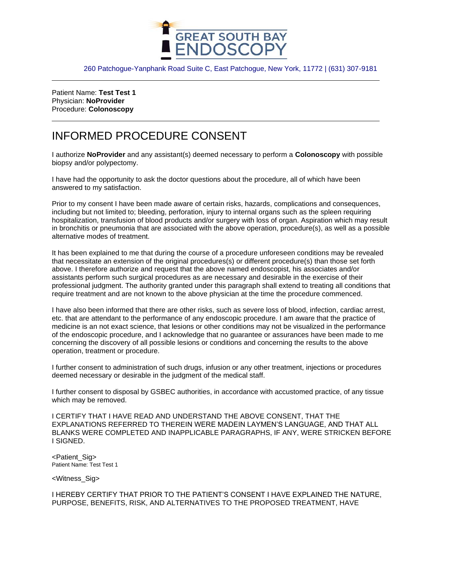

260 Patchogue-Yanphank Road Suite C, East Patchogue, New York, 11772 | (631) 307-9181

Patient Name: **Test Test 1** Physician: **NoProvider** Procedure: **Colonoscopy**

## INFORMED PROCEDURE CONSENT

I authorize **NoProvider** and any assistant(s) deemed necessary to perform a **Colonoscopy** with possible biopsy and/or polypectomy.

I have had the opportunity to ask the doctor questions about the procedure, all of which have been answered to my satisfaction.

Prior to my consent I have been made aware of certain risks, hazards, complications and consequences, including but not limited to; bleeding, perforation, injury to internal organs such as the spleen requiring hospitalization, transfusion of blood products and/or surgery with loss of organ. Aspiration which may result in bronchitis or pneumonia that are associated with the above operation, procedure(s), as well as a possible alternative modes of treatment.

It has been explained to me that during the course of a procedure unforeseen conditions may be revealed that necessitate an extension of the original procedures(s) or different procedure(s) than those set forth above. I therefore authorize and request that the above named endoscopist, his associates and/or assistants perform such surgical procedures as are necessary and desirable in the exercise of their professional judgment. The authority granted under this paragraph shall extend to treating all conditions that require treatment and are not known to the above physician at the time the procedure commenced.

I have also been informed that there are other risks, such as severe loss of blood, infection, cardiac arrest, etc. that are attendant to the performance of any endoscopic procedure. I am aware that the practice of medicine is an not exact science, that lesions or other conditions may not be visualized in the performance of the endoscopic procedure, and I acknowledge that no guarantee or assurances have been made to me concerning the discovery of all possible lesions or conditions and concerning the results to the above operation, treatment or procedure.

I further consent to administration of such drugs, infusion or any other treatment, injections or procedures deemed necessary or desirable in the judgment of the medical staff.

I further consent to disposal by GSBEC authorities, in accordance with accustomed practice, of any tissue which may be removed.

I CERTIFY THAT I HAVE READ AND UNDERSTAND THE ABOVE CONSENT, THAT THE EXPLANATIONS REFERRED TO THEREIN WERE MADEIN LAYMEN'S LANGUAGE, AND THAT ALL BLANKS WERE COMPLETED AND INAPPLICABLE PARAGRAPHS, IF ANY, WERE STRICKEN BEFORE I SIGNED.

<Patient\_Sig> Patient Name: Test Test 1

<Witness\_Sig>

I HEREBY CERTIFY THAT PRIOR TO THE PATIENT'S CONSENT I HAVE EXPLAINED THE NATURE, PURPOSE, BENEFITS, RISK, AND ALTERNATIVES TO THE PROPOSED TREATMENT, HAVE